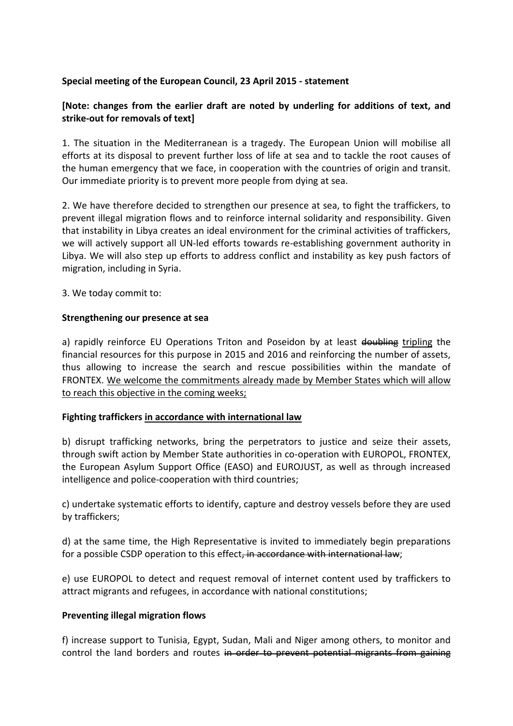# **Special meeting of the European Council, 23 April 2015 - statement**

# **[Note: changes from the earlier draft are noted by underling for additions of text, and strike-out for removals of text]**

1. The situation in the Mediterranean is a tragedy. The European Union will mobilise all efforts at its disposal to prevent further loss of life at sea and to tackle the root causes of the human emergency that we face, in cooperation with the countries of origin and transit. Our immediate priority is to prevent more people from dying at sea.

2. We have therefore decided to strengthen our presence at sea, to fight the traffickers, to prevent illegal migration flows and to reinforce internal solidarity and responsibility. Given that instability in Libya creates an ideal environment for the criminal activities of traffickers, we will actively support all UN-led efforts towards re-establishing government authority in Libya. We will also step up efforts to address conflict and instability as key push factors of migration, including in Syria.

3. We today commit to:

#### **Strengthening our presence at sea**

a) rapidly reinforce EU Operations Triton and Poseidon by at least doubling tripling the financial resources for this purpose in 2015 and 2016 and reinforcing the number of assets, thus allowing to increase the search and rescue possibilities within the mandate of FRONTEX. We welcome the commitments already made by Member States which will allow to reach this objective in the coming weeks;

## **Fighting traffickers in accordance with international law**

b) disrupt trafficking networks, bring the perpetrators to justice and seize their assets, through swift action by Member State authorities in co-operation with EUROPOL, FRONTEX, the European Asylum Support Office (EASO) and EUROJUST, as well as through increased intelligence and police-cooperation with third countries;

c) undertake systematic efforts to identify, capture and destroy vessels before they are used by traffickers;

d) at the same time, the High Representative is invited to immediately begin preparations for a possible CSDP operation to this effect, in accordance with international law;

e) use EUROPOL to detect and request removal of internet content used by traffickers to attract migrants and refugees, in accordance with national constitutions;

## **Preventing illegal migration flows**

f) increase support to Tunisia, Egypt, Sudan, Mali and Niger among others, to monitor and control the land borders and routes in order to prevent potential migrants from gaining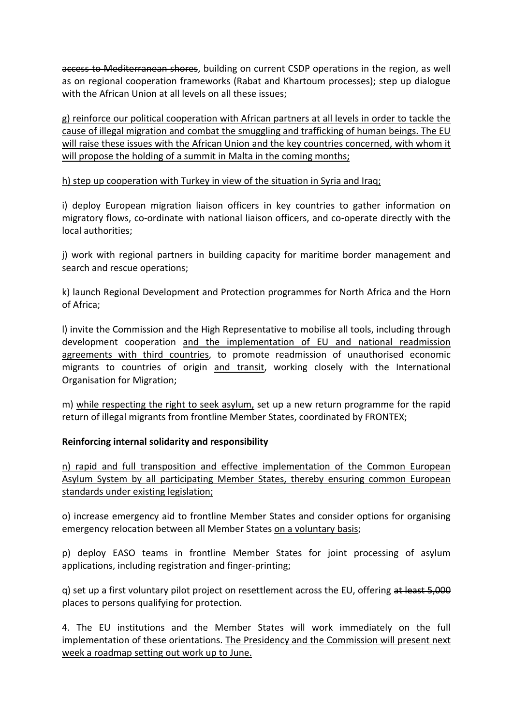access to Mediterranean shores, building on current CSDP operations in the region, as well as on regional cooperation frameworks (Rabat and Khartoum processes); step up dialogue with the African Union at all levels on all these issues;

g) reinforce our political cooperation with African partners at all levels in order to tackle the cause of illegal migration and combat the smuggling and trafficking of human beings. The EU will raise these issues with the African Union and the key countries concerned, with whom it will propose the holding of a summit in Malta in the coming months;

## h) step up cooperation with Turkey in view of the situation in Syria and Iraq;

i) deploy European migration liaison officers in key countries to gather information on migratory flows, co-ordinate with national liaison officers, and co-operate directly with the local authorities;

j) work with regional partners in building capacity for maritime border management and search and rescue operations;

k) launch Regional Development and Protection programmes for North Africa and the Horn of Africa;

l) invite the Commission and the High Representative to mobilise all tools, including through development cooperation and the implementation of EU and national readmission agreements with third countries, to promote readmission of unauthorised economic migrants to countries of origin and transit, working closely with the International Organisation for Migration;

m) while respecting the right to seek asylum, set up a new return programme for the rapid return of illegal migrants from frontline Member States, coordinated by FRONTEX;

## **Reinforcing internal solidarity and responsibility**

n) rapid and full transposition and effective implementation of the Common European Asylum System by all participating Member States, thereby ensuring common European standards under existing legislation;

o) increase emergency aid to frontline Member States and consider options for organising emergency relocation between all Member States on a voluntary basis;

p) deploy EASO teams in frontline Member States for joint processing of asylum applications, including registration and finger-printing;

g) set up a first voluntary pilot project on resettlement across the EU, offering at least 5,000 places to persons qualifying for protection.

4. The EU institutions and the Member States will work immediately on the full implementation of these orientations. The Presidency and the Commission will present next week a roadmap setting out work up to June.